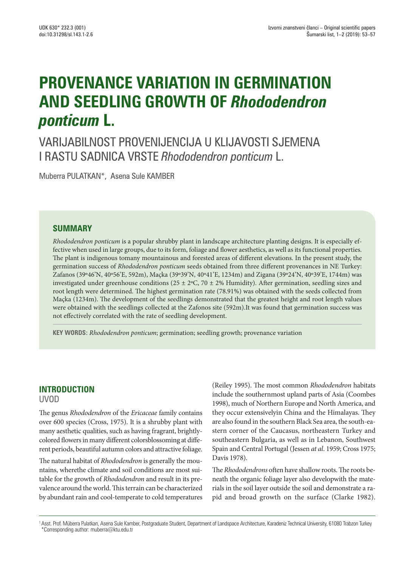# **PROVENANCE VARIATION IN GERMINATION AND SEEDLING GROWTH OF** *Rhododendron ponticum* **L.**

VARIJABILNOST PROVENIJENCIJA U KLIJAVOSTI SJEMENA I RASTU SADNICA VRSTE *Rhododendron ponticum* L.

Muberra PULATKAN\*, Asena Sule KAMBER

## **SUMMARY**

*Rhododendron ponticum* is a popular shrubby plant in landscape architecture planting designs. It is especially effective when used in large groups, due to its form, foliage and flower aesthetics, as well as its functional properties. The plant is indigenous tomany mountainous and forested areas of different elevations. In the present study, the germination success of *Rhododendron ponticum* seeds obtained from three different provenances in NE Turkey: Zafanos (39º46'N, 40º56'E, 592m), Maçka (39º39'N, 40º41'E, 1234m) and Zigana (39º24'N, 40º39'E, 1744m) was investigated under greenhouse conditions (25  $\pm$  2°C, 70  $\pm$  2% Humidity). After germination, seedling sizes and root length were determined. The highest germination rate (78.91%) was obtained with the seeds collected from Maçka (1234m). The development of the seedlings demonstrated that the greatest height and root length values were obtained with the seedlings collected at the Zafonos site (592m).It was found that germination success was not effectively correlated with the rate of seedling development.

**KEY WORDS:** *Rhododendron ponticum*; germination; seedling growth; provenance variation

# **INTRODUCTION**

UVOD

The genus *Rhododendron* of the *Ericaceae* family contains over 600 species (Cross, 1975). It is a shrubby plant with many aesthetic qualities, such as having fragrant, brightlycolored flowers in many different colorsblossoming at different periods, beautiful autumn colors and attractive foliage.

The natural habitat of *Rhododendron* is generally the mountains, wherethe climate and soil conditions are most suitable for the growth of *Rhododendron* and result in its prevalence around the world. This terrain can be characterized by abundant rain and cool-temperate to cold temperatures (Reiley 1995). The most common *Rhododendron* habitats include the southernmost upland parts of Asia (Coombes 1998), much of Northern Europe and North America, and they occur extensivelyin China and the Himalayas. They are also found in the southern Black Sea area, the south-eastern corner of the Caucasus, northeastern Turkey and southeastern Bulgaria, as well as in Lebanon, Southwest Spain and Central Portugal (Jessen *at al*. 1959; Cross 1975; Davis 1978).

The *Rhododendrons* often have shallow roots. The roots beneath the organic foliage layer also developwith the materials in the soil layer outside the soil and demonstrate a rapid and broad growth on the surface (Clarke 1982).

<sup>1</sup> Asst. Prof. Müberra Pulatkan, Asena Sule Kamber, Postgraduate Student, Department of Landspace Architecture, Karadeniz Technical University, 61080 Trabzon Turkey \*Corresponding author: muberra@ktu.edu.tr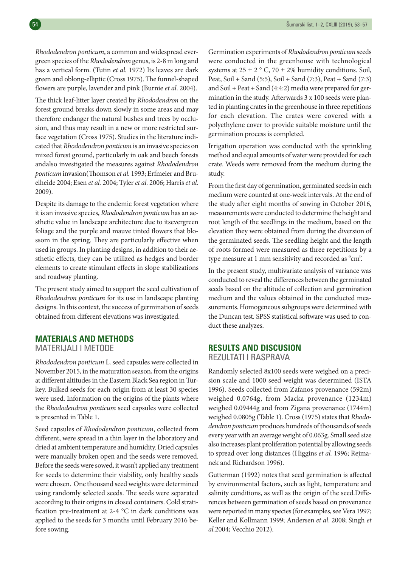*Rhododendron ponticum*, a common and widespread evergreen species of the *Rhododendron* genus, is 2-8 m long and has a vertical form. (Tutin *et al.* 1972) Its leaves are dark green and oblong-elliptic (Cross 1975). The funnel-shaped flowers are purple, lavender and pink (Burnie *et al*. 2004).

The thick leaf-litter layer created by *Rhododendron* on the forest ground breaks down slowly in some areas and may therefore endanger the natural bushes and trees by occlusion, and thus may result in a new or more restricted surface vegetation (Cross 1975). Studies in the literature indicated that *Rhododendron ponticum* is an invasive species on mixed forest ground, particularly in oak and beech forests andalso investigated the measures against *Rhododendron ponticum* invasion(Thomson *et al.* 1993; Erfmeier and Bruelheide 2004; Esen *et al.* 2004; Tyler *et al.* 2006; Harris *et al.* 2009).

Despite its damage to the endemic forest vegetation where it is an invasive species, *Rhododendron ponticum* has an aesthetic value in landscape architecture due to itsevergreen foliage and the purple and mauve tinted flowers that blossom in the spring. They are particularly effective when used in groups. In planting designs, in addition to their aesthetic effects, they can be utilized as hedges and border elements to create stimulant effects in slope stabilizations and roadway planting.

The present study aimed to support the seed cultivation of *Rhododendron ponticum* for its use in landscape planting designs. In this context, the success of germination of seeds obtained from different elevations was investigated.

#### **MATERIALS AND METHODS**

MATERIJALI I METODE

*Rhododendron ponticum* L. seed capsules were collected in November 2015, in the maturation season, from the origins at different altitudes in the Eastern Black Sea region in Turkey. Bulked seeds for each origin from at least 30 species were used. Information on the origins of the plants where the *Rhododendron ponticum* seed capsules were collected is presented in Table 1.

Seed capsules of *Rhododendron ponticum*, collected from different, were spread in a thin layer in the laboratory and dried at ambient temperature and humidity. Dried capsules were manually broken open and the seeds were removed. Before the seeds were sowed, it wasn't applied any treatment for seeds to determine their viability, only healthy seeds were chosen. One thousand seed weights were determined using randomly selected seeds. The seeds were separated according to their origins in closed containers. Cold stratification pre-treatment at 2-4 °C in dark conditions was applied to the seeds for 3 months until February 2016 before sowing.

Germination experiments of *Rhododendron ponticum* seeds were conducted in the greenhouse with technological systems at  $25 \pm 2$  ° C, 70  $\pm$  2% humidity conditions. Soil, Peat, Soil + Sand (5:5), Soil + Sand (7:3), Peat + Sand (7:3) and Soil + Peat + Sand (4:4:2) media were prepared for germination in the study. Afterwards 3 x 100 seeds were planted in planting crates in the greenhouse in three repetitions for each elevation. The crates were covered with a polyethylene cover to provide suitable moisture until the germination process is completed.

Irrigation operation was conducted with the sprinkling method and equal amounts of water were provided for each crate. Weeds were removed from the medium during the study.

From the first day of germination, germinated seeds in each medium were counted at one-week intervals. At the end of the study after eight months of sowing in October 2016, measurements were conducted to determine the height and root length of the seedlings in the medium, based on the elevation they were obtained from during the diversion of the germinated seeds. The seedling height and the length of roots formed were measured as three repetitions by a type measure at 1 mm sensitivity and recorded as "cm".

In the present study, multivariate analysis of variance was conducted to reveal the differences between the germinated seeds based on the altitude of collection and germination medium and the values obtained in the conducted measurements. Homogeneous subgroups were determined with the Duncan test. SPSS statistical software was used to conduct these analyzes.

## **RESULTS AND DISCUSION** REZULTATI I RASPRAVA

Randomly selected 8x100 seeds were weighed on a precision scale and 1000 seed weight was determined (ISTA 1996). Seeds collected from Zafanos provenance (592m) weighed 0.0764g, from Macka provenance (1234m) weighed 0.09444g and from Zigana provenance (1744m) weighed 0.0805g (Table 1). Cross (1975) states that *Rhododendron ponticum* produces hundreds of thousands of seeds every year with an average weight of 0.063g. Small seed size also increases plant proliferation potential by allowing seeds to spread over long distances (Higgins *et al.* 1996; Rejmanek and Richardson 1996).

Gutterman (1992) notes that seed germination is affected by environmental factors, such as light, temperature and salinity conditions, as well as the origin of the seed.Differences between germination of seeds based on provenance were reported in many species (for examples, see Vera 1997; Keller and Kollmann 1999; Andersen *et al*. 2008; Singh *et al.*2004; Vecchio 2012).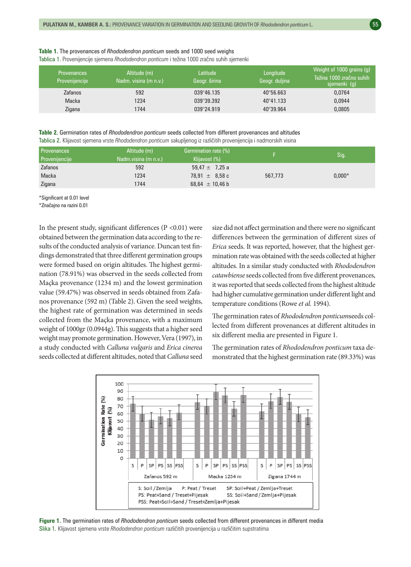| <b>Table 1.</b> The provenances of <i>Rhododendron ponticum</i> seeds and 1000 seed weighs  |  |  |
|---------------------------------------------------------------------------------------------|--|--|
| Tablica 1. Provenijencije sjemena Rhododendron ponticum i težina 1000 zračno suhih sjemenki |  |  |

| <b>Provenances</b><br>Provenijencije | Altitude (m)<br>Nadm. visina (m n.v.) | Latitude<br>Geogr. širina | Longitude<br>Geogr. duljina | Weight of 1000 grains (g)<br>Težina 1000 zračno suhih<br>sjemenki (g) |
|--------------------------------------|---------------------------------------|---------------------------|-----------------------------|-----------------------------------------------------------------------|
| <b>Zafanos</b>                       | 592                                   | $039^{\circ}46.135$       | $40^{\circ}56.663$          | 0,0764                                                                |
| Macka                                | 1234                                  | 039°39.392                | 40°41.133                   | 0,0944                                                                |
| Zigana                               | 1744                                  | 039°24.919                | 40°39.964                   | 0,0805                                                                |

**Table 2.** Germination rates of *Rhododendron ponticum* seeds collected from different provenances and altitudes Tablica 2. Klijavost sjemena vrste *Rhododendron ponticum* sakupljenog iz različitih provenijencija i nadmorskih visina

| Provenances           | Altitude (m)         | Germination rate (%) |         | Sig.     |
|-----------------------|----------------------|----------------------|---------|----------|
| <b>Provenijencije</b> | Nadm.visina (m n.v.) | Klijavost (%)        |         |          |
| Zafanos               | 592                  | 59,47 $\pm$ 7,25 a   |         |          |
| Macka                 | 1234                 | $78.91 \pm 8.58$ c   | 567,773 | $0.000*$ |
| Zigana                | 1744                 | 68,64 $\pm$ 10,46 b  |         |          |

\*Significant at 0.01 level

\*Značajno na razini 0.01

In the present study, significant differences  $(P < 0.01)$  were obtained between the germination data according to the results of the conducted analysis of variance. Duncan test findings demonstrated that three different germination groups were formed based on origin altitudes. The highest germination (78.91%) was observed in the seeds collected from Maçka provenance (1234 m) and the lowest germination value (59.47%) was observed in seeds obtained from Zafanos provenance (592 m) (Table 2). Given the seed weights, the highest rate of germination was determined in seeds collected from the Maçka provenance, with a maximum weight of 1000gr (0.0944g). This suggests that a higher seed weight may promote germination. However, Vera (1997), in a study conducted with *Calluna vulgaris* and *Erica cinerea* seeds collected at different altitudes, noted that *Calluna* seed size did not affect germination and there were no significant differences between the germination of different sizes of *Erica* seeds. It was reported, however, that the highest germination rate was obtained with the seeds collected at higher altitudes. In a similar study conducted with *Rhododendron catawbiense* seeds collected from five different provenances, it was reported that seeds collected from the highest altitude had higher cumulative germination under different light and temperature conditions (Rowe *et al.* 1994).

The germination rates of *Rhododendron ponticum*seeds collected from different provenances at different altitudes in six different media are presented in Figure 1.

The germination rates of *Rhododendron ponticum* taxa demonstrated that the highest germination rate (89.33%) was



**Figure 1.** The germination rates of *Rhododendron ponticum* seeds collected from different provenances in different media Slika 1. Klijavost sjemena vrste *Rhododendron ponticum* različitih provenijencija u različitim supstratima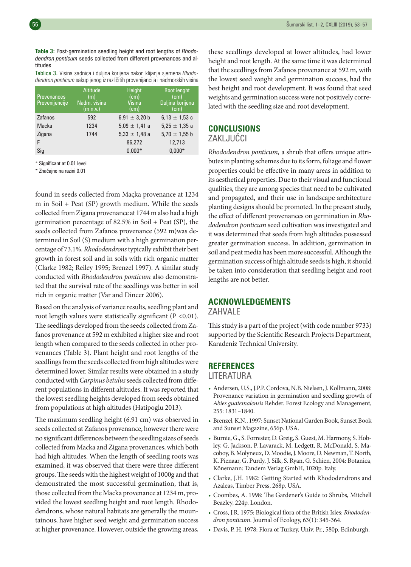**Table 3:** Post-germination seedling height and root lengths of *Rhododendron ponticum* seeds collected from different provenances and altitudes

Tablica 3. Visina sadnica i duljina korijena nakon klijanja sjemena *Rhododendron ponticum* sakupljenog iz različitih provenijancija i nadmorskih visina

| <b>Provenances</b><br>Provenijencije | Altitude<br>(m)<br>Nadm. visina<br>(m n.v.) | Height<br>(cm)<br><b>Visina</b><br>(cm) | <b>Root lenght</b><br>(c <sub>m</sub> )<br>Duljina korijena<br>(cm) |
|--------------------------------------|---------------------------------------------|-----------------------------------------|---------------------------------------------------------------------|
| Zafanos                              | 592                                         | 6,91 $\pm$ 3,20 b                       | 6,13 $\pm$ 1,53 c                                                   |
| Macka                                | 1234                                        | $5.09 \pm 1.41$ a                       | $5.25 \pm 1.35$ a                                                   |
| Zigana                               | 1744                                        | $5,33 \pm 1,48$ a                       | 5,70 $\pm$ 1,55 b                                                   |
| F                                    |                                             | 86,272                                  | 12,713                                                              |
| Sig                                  |                                             | $0.000*$                                | $0.000*$                                                            |

\* Significant at 0.01 level

\* Značajno na razini 0.01

found in seeds collected from Maçka provenance at 1234 m in Soil + Peat (SP) growth medium. While the seeds collected from Zigana provenance at 1744 m also had a high germination percentage of 82.5% in Soil + Peat (SP), the seeds collected from Zafanos provenance (592 m)was determined in Soil (S) medium with a high germination percentage of 73.1%. *Rhododendrons* typically exhibit their best growth in forest soil and in soils with rich organic matter (Clarke 1982; Reiley 1995; Brenzel 1997). A similar study conducted with *Rhododendron ponticum* also demonstrated that the survival rate of the seedlings was better in soil rich in organic matter (Var and Dincer 2006).

Based on the analysis of variance results, seedling plant and root length values were statistically significant ( $P < 0.01$ ). The seedlings developed from the seeds collected from Zafanos provenance at 592 m exhibited a higher size and root length when compared to the seeds collected in other provenances (Table 3). Plant height and root lengths of the seedlings from the seeds collected from high altitudes were determined lower. Similar results were obtained in a study conducted with *Carpinus betulus* seeds collected from different populations in different altitudes. It was reported that the lowest seedling heights developed from seeds obtained from populations at high altitudes (Hatipoglu 2013).

The maximum seedling height (6.91 cm) was observed in seeds collected at Zafanos provenance, however there were no significant differences between the seedling sizes of seeds collected from Macka and Zigana provenances, which both had high altitudes. When the length of seedling roots was examined, it was observed that there were three different groups. The seeds with the highest weight of 1000g and that demonstrated the most successful germination, that is, those collected from the Macka provenance at 1234 m, provided the lowest seedling height and root length. Rhododendrons, whose natural habitats are generally the mountainous, have higher seed weight and germination success at higher provenance. However, outside the growing areas,

these seedlings developed at lower altitudes, had lower height and root length. At the same time it was determined that the seedlings from Zafanos provenance at 592 m, with the lowest seed weight and germination success, had the best height and root development. It was found that seed weights and germination success were not positively correlated with the seedling size and root development.

#### **CONCLUSIONS** ZAKLJUČCI

*Rhododendron ponticum,* a shrub that offers unique attributes in planting schemes due to its form, foliage and flower properties could be effective in many areas in addition to its aesthetical properties. Due to their visual and functional qualities, they are among species that need to be cultivated and propagated, and their use in landscape architecture planting designs should be promoted. In the present study, the effect of different provenances on germination in *Rhododendron ponticum* seed cultivation was investigated and it was determined that seeds from high altitudes possessed greater germination success. In addition, germination in soil and peat media has been more successful. Although the germination success of high altitude seeds is high, it should be taken into consideration that seedling height and root lengths are not better.

### **ACKNOWLEDGEMENTS**

ZAHVALE

This study is a part of the project (with code number 9733) supported by the Scientific Research Projects Department, Karadeniz Technical University.

#### **REFERENCES**

LITERATURA

- Andersen, U.S., J.P.P. Cordova, N.B. Nielsen, J. Kollmann, 2008: Provenance variation in germination and seedling growth of *Abies guatemalensis* Rehder. Forest Ecology and Management, 255: 1831–1840.
- Brenzel, K.N., 1997: Sunset National Garden Book, Sunset Book and Sunset Magazine, 656p. USA.
- Burnie, G., S. Forrester, D. Greig, S. Guest, M. Harmony, S. Hobley, G. Jackson, P. Lavarack, M. Ledgett, R. McDonald, S. Macoboy, B. Molyneux, D. Moodie, J. Moore, D. Newman, T. North, K. Pienaar, G. Purdy, J. Silk, S. Ryan, G. Schien, 2004: Botanica, Könemann: Tandem Verlag GmbH, 1020p. Italy.
- Clarke, J.H. 1982: Getting Started with Rhododendrons and Azaleas, Timber Press, 268p. USA.
- Coombes, A. 1998: The Gardener's Guide to Shrubs, Mitchell Beazley, 224p. London.
- Cross, J.R. 1975: Biological flora of the British Isles: *Rhododendron ponticum*. Journal of Ecology, 63(1): 345-364.
- Davis, P. H. 1978: Flora of Turkey, Univ. Pr., 580p. Edinburgh.